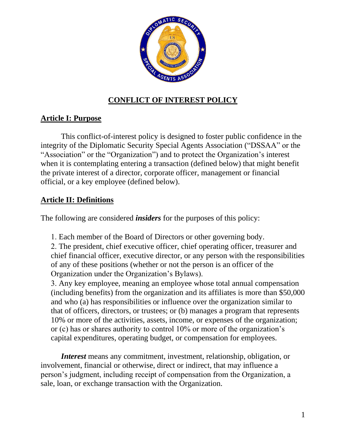

# **CONFLICT OF INTEREST POLICY**

# **Article I: Purpose**

This conflict-of-interest policy is designed to foster public confidence in the integrity of the Diplomatic Security Special Agents Association ("DSSAA" or the "Association" or the "Organization") and to protect the Organization's interest when it is contemplating entering a transaction (defined below) that might benefit the private interest of a director, corporate officer, management or financial official, or a key employee (defined below).

# **Article II: Definitions**

The following are considered *insiders* for the purposes of this policy:

Each member of the Board of Directors or other governing body.

 The president, chief executive officer, chief operating officer, treasurer and chief financial officer, executive director, or any person with the responsibilities of any of these positions (whether or not the person is an officer of the Organization under the Organization's Bylaws).

 Any key employee, meaning an employee whose total annual compensation (including benefits) from the organization and its affiliates is more than \$50,000 and who (a) has responsibilities or influence over the organization similar to that of officers, directors, or trustees; or (b) manages a program that represents 10% or more of the activities, assets, income, or expenses of the organization; or (c) has or shares authority to control 10% or more of the organization's capital expenditures, operating budget, or compensation for employees.

*Interest* means any commitment, investment, relationship, obligation, or involvement, financial or otherwise, direct or indirect, that may influence a person's judgment, including receipt of compensation from the Organization, a sale, loan, or exchange transaction with the Organization.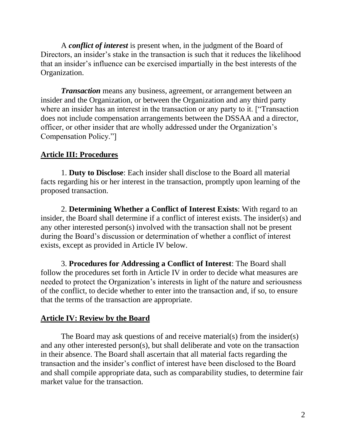A *conflict of interest* is present when, in the judgment of the Board of Directors, an insider's stake in the transaction is such that it reduces the likelihood that an insider's influence can be exercised impartially in the best interests of the Organization.

*Transaction* means any business, agreement, or arrangement between an insider and the Organization, or between the Organization and any third party where an insider has an interest in the transaction or any party to it. ["Transaction does not include compensation arrangements between the DSSAA and a director, officer, or other insider that are wholly addressed under the Organization's Compensation Policy."]

# **Article III: Procedures**

1. **Duty to Disclose**: Each insider shall disclose to the Board all material facts regarding his or her interest in the transaction, promptly upon learning of the proposed transaction.

2. **Determining Whether a Conflict of Interest Exists**: With regard to an insider, the Board shall determine if a conflict of interest exists. The insider(s) and any other interested person(s) involved with the transaction shall not be present during the Board's discussion or determination of whether a conflict of interest exists, except as provided in Article IV below.

3. **Procedures for Addressing a Conflict of Interest**: The Board shall follow the procedures set forth in Article IV in order to decide what measures are needed to protect the Organization's interests in light of the nature and seriousness of the conflict, to decide whether to enter into the transaction and, if so, to ensure that the terms of the transaction are appropriate.

## **Article IV: Review by the Board**

The Board may ask questions of and receive material(s) from the insider(s) and any other interested person(s), but shall deliberate and vote on the transaction in their absence. The Board shall ascertain that all material facts regarding the transaction and the insider's conflict of interest have been disclosed to the Board and shall compile appropriate data, such as comparability studies, to determine fair market value for the transaction.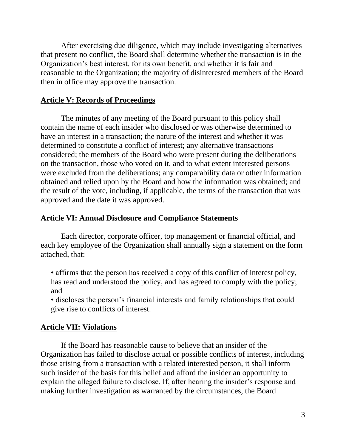After exercising due diligence, which may include investigating alternatives that present no conflict, the Board shall determine whether the transaction is in the Organization's best interest, for its own benefit, and whether it is fair and reasonable to the Organization; the majority of disinterested members of the Board then in office may approve the transaction.

## **Article V: Records of Proceedings**

The minutes of any meeting of the Board pursuant to this policy shall contain the name of each insider who disclosed or was otherwise determined to have an interest in a transaction; the nature of the interest and whether it was determined to constitute a conflict of interest; any alternative transactions considered; the members of the Board who were present during the deliberations on the transaction, those who voted on it, and to what extent interested persons were excluded from the deliberations; any comparability data or other information obtained and relied upon by the Board and how the information was obtained; and the result of the vote, including, if applicable, the terms of the transaction that was approved and the date it was approved.

#### **Article VI: Annual Disclosure and Compliance Statements**

Each director, corporate officer, top management or financial official, and each key employee of the Organization shall annually sign a statement on the form attached, that:

- affirms that the person has received a copy of this conflict of interest policy, has read and understood the policy, and has agreed to comply with the policy; and
- discloses the person's financial interests and family relationships that could give rise to conflicts of interest.

#### **Article VII: Violations**

If the Board has reasonable cause to believe that an insider of the Organization has failed to disclose actual or possible conflicts of interest, including those arising from a transaction with a related interested person, it shall inform such insider of the basis for this belief and afford the insider an opportunity to explain the alleged failure to disclose. If, after hearing the insider's response and making further investigation as warranted by the circumstances, the Board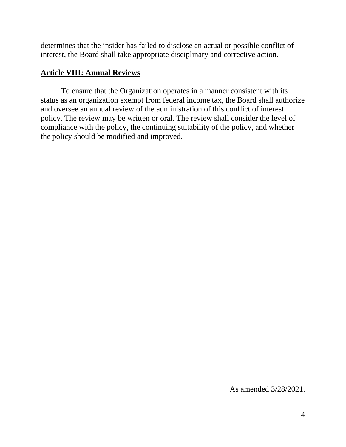determines that the insider has failed to disclose an actual or possible conflict of interest, the Board shall take appropriate disciplinary and corrective action.

## **Article VIII: Annual Reviews**

To ensure that the Organization operates in a manner consistent with its status as an organization exempt from federal income tax, the Board shall authorize and oversee an annual review of the administration of this conflict of interest policy. The review may be written or oral. The review shall consider the level of compliance with the policy, the continuing suitability of the policy, and whether the policy should be modified and improved.

As amended 3/28/2021.